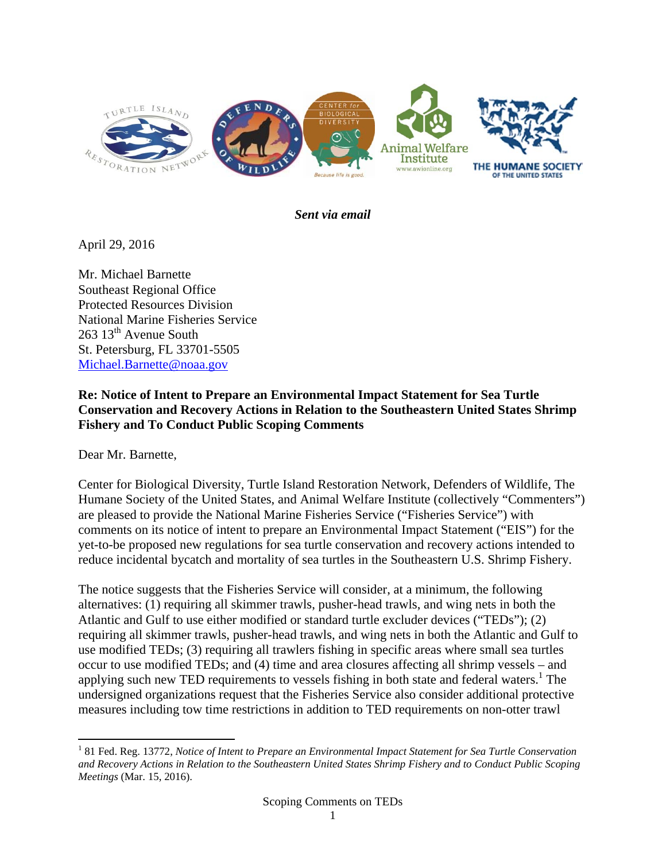

*Sent via email* 

April 29, 2016

Mr. Michael Barnette Southeast Regional Office Protected Resources Division National Marine Fisheries Service 263 13<sup>th</sup> Avenue South St. Petersburg, FL 33701-5505 Michael.Barnette@noaa.gov

#### **Re: Notice of Intent to Prepare an Environmental Impact Statement for Sea Turtle Conservation and Recovery Actions in Relation to the Southeastern United States Shrimp Fishery and To Conduct Public Scoping Comments**

Dear Mr. Barnette,

Center for Biological Diversity, Turtle Island Restoration Network, Defenders of Wildlife, The Humane Society of the United States, and Animal Welfare Institute (collectively "Commenters") are pleased to provide the National Marine Fisheries Service ("Fisheries Service") with comments on its notice of intent to prepare an Environmental Impact Statement ("EIS") for the yet-to-be proposed new regulations for sea turtle conservation and recovery actions intended to reduce incidental bycatch and mortality of sea turtles in the Southeastern U.S. Shrimp Fishery.

The notice suggests that the Fisheries Service will consider, at a minimum, the following alternatives: (1) requiring all skimmer trawls, pusher-head trawls, and wing nets in both the Atlantic and Gulf to use either modified or standard turtle excluder devices ("TEDs"); (2) requiring all skimmer trawls, pusher-head trawls, and wing nets in both the Atlantic and Gulf to use modified TEDs; (3) requiring all trawlers fishing in specific areas where small sea turtles occur to use modified TEDs; and (4) time and area closures affecting all shrimp vessels – and applying such new TED requirements to vessels fishing in both state and federal waters.<sup>1</sup> The undersigned organizations request that the Fisheries Service also consider additional protective measures including tow time restrictions in addition to TED requirements on non-otter trawl

<sup>&</sup>lt;sup>1</sup> 81 Fed. Reg. 13772, Notice of Intent to Prepare an Environmental Impact Statement for Sea Turtle Conservation *and Recovery Actions in Relation to the Southeastern United States Shrimp Fishery and to Conduct Public Scoping Meetings* (Mar. 15, 2016).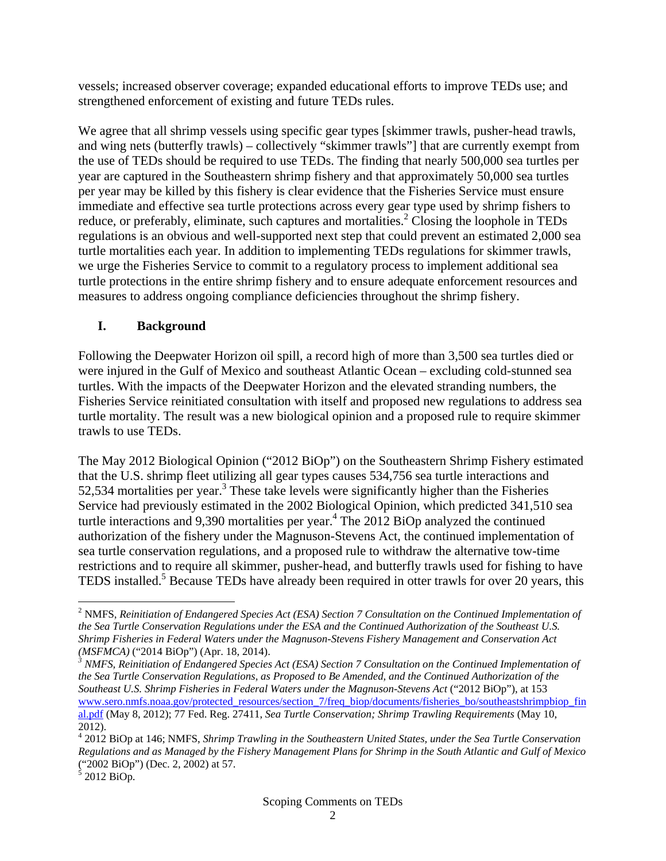vessels; increased observer coverage; expanded educational efforts to improve TEDs use; and strengthened enforcement of existing and future TEDs rules.

We agree that all shrimp vessels using specific gear types [skimmer trawls, pusher-head trawls, and wing nets (butterfly trawls) – collectively "skimmer trawls"] that are currently exempt from the use of TEDs should be required to use TEDs. The finding that nearly 500,000 sea turtles per year are captured in the Southeastern shrimp fishery and that approximately 50,000 sea turtles per year may be killed by this fishery is clear evidence that the Fisheries Service must ensure immediate and effective sea turtle protections across every gear type used by shrimp fishers to reduce, or preferably, eliminate, such captures and mortalities.<sup>2</sup> Closing the loophole in TEDs regulations is an obvious and well-supported next step that could prevent an estimated 2,000 sea turtle mortalities each year. In addition to implementing TEDs regulations for skimmer trawls, we urge the Fisheries Service to commit to a regulatory process to implement additional sea turtle protections in the entire shrimp fishery and to ensure adequate enforcement resources and measures to address ongoing compliance deficiencies throughout the shrimp fishery.

## **I. Background**

Following the Deepwater Horizon oil spill, a record high of more than 3,500 sea turtles died or were injured in the Gulf of Mexico and southeast Atlantic Ocean – excluding cold-stunned sea turtles. With the impacts of the Deepwater Horizon and the elevated stranding numbers, the Fisheries Service reinitiated consultation with itself and proposed new regulations to address sea turtle mortality. The result was a new biological opinion and a proposed rule to require skimmer trawls to use TEDs.

The May 2012 Biological Opinion ("2012 BiOp") on the Southeastern Shrimp Fishery estimated that the U.S. shrimp fleet utilizing all gear types causes 534,756 sea turtle interactions and  $52,534$  mortalities per year.<sup>3</sup> These take levels were significantly higher than the Fisheries Service had previously estimated in the 2002 Biological Opinion, which predicted 341,510 sea turtle interactions and 9,390 mortalities per year.<sup>4</sup> The 2012 BiOp analyzed the continued authorization of the fishery under the Magnuson-Stevens Act, the continued implementation of sea turtle conservation regulations, and a proposed rule to withdraw the alternative tow-time restrictions and to require all skimmer, pusher-head, and butterfly trawls used for fishing to have TEDS installed.<sup>5</sup> Because TEDs have already been required in otter trawls for over 20 years, this

<sup>&</sup>lt;sup>2</sup> NMFS, Reinitiation of Endangered Species Act (ESA) Section 7 Consultation on the Continued Implementation of *the Sea Turtle Conservation Regulations under the ESA and the Continued Authorization of the Southeast U.S. Shrimp Fisheries in Federal Waters under the Magnuson-Stevens Fishery Management and Conservation Act (MSFMCA)* ("2014 BiOp") (Apr. 18, 2014). *<sup>3</sup>*

<sup>&</sup>lt;sup>3</sup> NMFS, Reinitiation of Endangered Species Act (ESA) Section 7 Consultation on the Continued Implementation of *the Sea Turtle Conservation Regulations, as Proposed to Be Amended, and the Continued Authorization of the Southeast U.S. Shrimp Fisheries in Federal Waters under the Magnuson-Stevens Act* ("2012 BiOp"), at 153 www.sero.nmfs.noaa.gov/protected\_resources/section\_7/freq\_biop/documents/fisheries\_bo/southeastshrimpbiop\_fin al.pdf (May 8, 2012); 77 Fed. Reg. 27411, *Sea Turtle Conservation; Shrimp Trawling Requirements* (May 10, 2012).

<sup>4</sup> 2012 BiOp at 146; NMFS, *Shrimp Trawling in the Southeastern United States, under the Sea Turtle Conservation Regulations and as Managed by the Fishery Management Plans for Shrimp in the South Atlantic and Gulf of Mexico* ("2002 BiOp") (Dec. 2, 2002) at 57.<br><sup>5</sup> 2012 BiOp.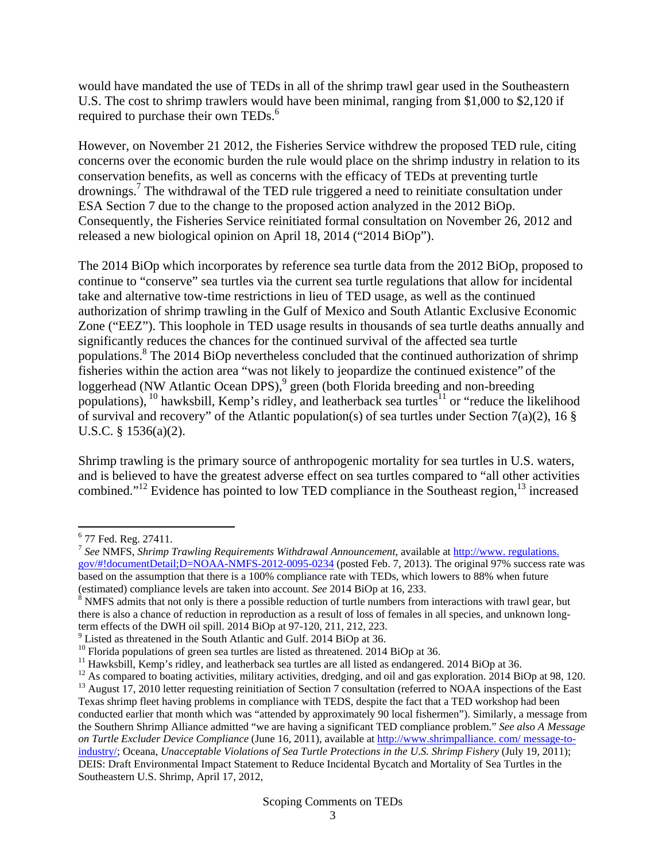would have mandated the use of TEDs in all of the shrimp trawl gear used in the Southeastern U.S. The cost to shrimp trawlers would have been minimal, ranging from \$1,000 to \$2,120 if required to purchase their own TEDs.<sup>6</sup>

However, on November 21 2012, the Fisheries Service withdrew the proposed TED rule, citing concerns over the economic burden the rule would place on the shrimp industry in relation to its conservation benefits, as well as concerns with the efficacy of TEDs at preventing turtle drownings.<sup>7</sup> The withdrawal of the TED rule triggered a need to reinitiate consultation under ESA Section 7 due to the change to the proposed action analyzed in the 2012 BiOp. Consequently, the Fisheries Service reinitiated formal consultation on November 26, 2012 and released a new biological opinion on April 18, 2014 ("2014 BiOp").

The 2014 BiOp which incorporates by reference sea turtle data from the 2012 BiOp, proposed to continue to "conserve" sea turtles via the current sea turtle regulations that allow for incidental take and alternative tow-time restrictions in lieu of TED usage, as well as the continued authorization of shrimp trawling in the Gulf of Mexico and South Atlantic Exclusive Economic Zone ("EEZ"). This loophole in TED usage results in thousands of sea turtle deaths annually and significantly reduces the chances for the continued survival of the affected sea turtle populations.<sup>8</sup> The 2014 BiOp nevertheless concluded that the continued authorization of shrimp fisheries within the action area "was not likely to jeopardize the continued existence" of the loggerhead (NW Atlantic Ocean DPS),<sup>9</sup> green (both Florida breeding and non-breeding populations),  $^{10}$  hawksbill, Kemp's ridley, and leatherback sea turtles<sup>11</sup> or "reduce the likelihood of survival and recovery" of the Atlantic population(s) of sea turtles under Section 7(a)(2), 16  $\S$ U.S.C. § 1536(a)(2).

Shrimp trawling is the primary source of anthropogenic mortality for sea turtles in U.S. waters, and is believed to have the greatest adverse effect on sea turtles compared to "all other activities combined."<sup>12</sup> Evidence has pointed to low TED compliance in the Southeast region, $13$  increased

<sup>7</sup> *See* NMFS, *Shrimp Trawling Requirements Withdrawal Announcement,* available at http://www. regulations. gov/#!documentDetail;D=NOAA-NMFS-2012-0095-0234 (posted Feb. 7, 2013). The original 97% success rate was based on the assumption that there is a 100% compliance rate with TEDs, which lowers to 88% when future (estimated) compliance levels are taken into account. *See* 2014 BiOp at 16, 233.

<sup>9</sup> Listed as threatened in the South Atlantic and Gulf. 2014 BiOp at 36.

<sup>&</sup>lt;sup>6</sup> 77 Fed. Reg. 27411.

 $8$  NMFS admits that not only is there a possible reduction of turtle numbers from interactions with trawl gear, but there is also a chance of reduction in reproduction as a result of loss of females in all species, and unknown longterm effects of the DWH oil spill. 2014 BiOp at 97-120, 211, 212, 223.

<sup>&</sup>lt;sup>10</sup> Florida populations of green sea turtles are listed as threatened. 2014 BiOp at 36.<br><sup>11</sup> Hawksbill, Kemp's ridley, and leatherback sea turtles are all listed as endangered. 2014 BiOp at 36.<br><sup>12</sup> As compared to boatin

Texas shrimp fleet having problems in compliance with TEDS, despite the fact that a TED workshop had been conducted earlier that month which was "attended by approximately 90 local fishermen"). Similarly, a message from the Southern Shrimp Alliance admitted "we are having a significant TED compliance problem." *See also A Message on Turtle Excluder Device Compliance* (June 16, 2011), available at http://www.shrimpalliance. com/ message-toindustry/; Oceana, *Unacceptable Violations of Sea Turtle Protections in the U.S. Shrimp Fishery (July 19, 2011)*; DEIS: Draft Environmental Impact Statement to Reduce Incidental Bycatch and Mortality of Sea Turtles in the Southeastern U.S. Shrimp, April 17, 2012,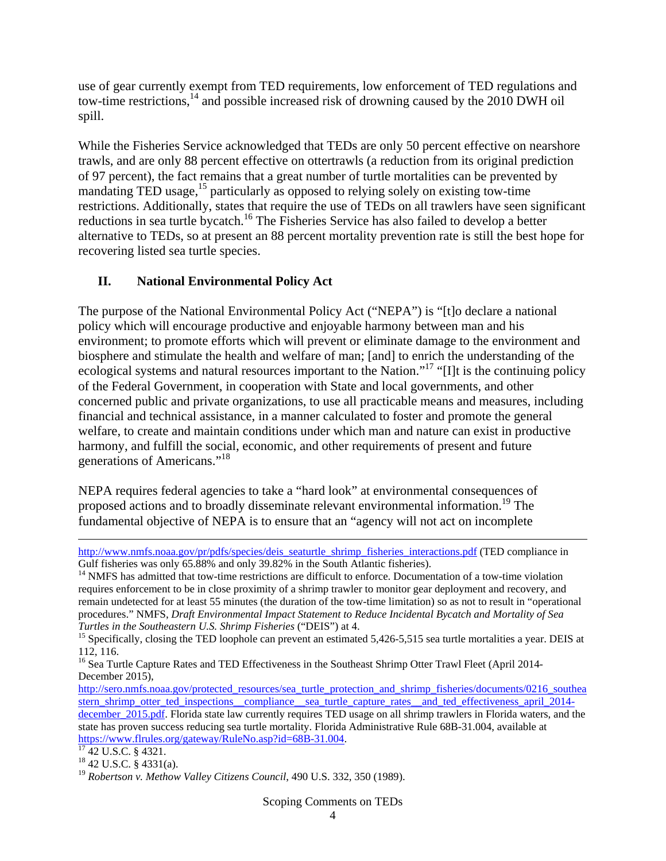use of gear currently exempt from TED requirements, low enforcement of TED regulations and tow-time restrictions, $^{14}$  and possible increased risk of drowning caused by the 2010 DWH oil spill.

While the Fisheries Service acknowledged that TEDs are only 50 percent effective on nearshore trawls, and are only 88 percent effective on ottertrawls (a reduction from its original prediction of 97 percent), the fact remains that a great number of turtle mortalities can be prevented by mandating TED usage,<sup>15</sup> particularly as opposed to relying solely on existing tow-time restrictions. Additionally, states that require the use of TEDs on all trawlers have seen significant reductions in sea turtle bycatch.16 The Fisheries Service has also failed to develop a better alternative to TEDs, so at present an 88 percent mortality prevention rate is still the best hope for recovering listed sea turtle species.

# **II. National Environmental Policy Act**

The purpose of the National Environmental Policy Act ("NEPA") is "[t]o declare a national policy which will encourage productive and enjoyable harmony between man and his environment; to promote efforts which will prevent or eliminate damage to the environment and biosphere and stimulate the health and welfare of man; [and] to enrich the understanding of the ecological systems and natural resources important to the Nation."<sup>17</sup> "[I]t is the continuing policy of the Federal Government, in cooperation with State and local governments, and other concerned public and private organizations, to use all practicable means and measures, including financial and technical assistance, in a manner calculated to foster and promote the general welfare, to create and maintain conditions under which man and nature can exist in productive harmony, and fulfill the social, economic, and other requirements of present and future generations of Americans."18

NEPA requires federal agencies to take a "hard look" at environmental consequences of proposed actions and to broadly disseminate relevant environmental information.<sup>19</sup> The fundamental objective of NEPA is to ensure that an "agency will not act on incomplete

<u> 1989 - Johann Stein, marwolaethau a gweledydd a ganlad y ganlad y ganlad y ganlad y ganlad y ganlad y ganlad</u>

http://www.nmfs.noaa.gov/pr/pdfs/species/deis\_seaturtle\_shrimp\_fisheries\_interactions.pdf (TED compliance in Gulf fisheries was only 65.88% and only 39.82% in the South Atlantic fisheries).

 $^{14}$  NMFS has admitted that tow-time restrictions are difficult to enforce. Documentation of a tow-time violation requires enforcement to be in close proximity of a shrimp trawler to monitor gear deployment and recovery, and remain undetected for at least 55 minutes (the duration of the tow-time limitation) so as not to result in "operational procedures." NMFS, *Draft Environmental Impact Statement to Reduce Incidental Bycatch and Mortality of Sea Turtles in the Southeastern U.S. Shrimp Fisheries* ("DEIS") at 4.<br><sup>15</sup> Specifically, closing the TED loophole can prevent an estimated 5,426-5,515 sea turtle mortalities a year. DEIS at

<sup>112, 116.</sup> 

<sup>&</sup>lt;sup>16</sup> Sea Turtle Capture Rates and TED Effectiveness in the Southeast Shrimp Otter Trawl Fleet (April 2014-December 2015),

http://sero.nmfs.noaa.gov/protected\_resources/sea\_turtle\_protection\_and\_shrimp\_fisheries/documents/0216\_southea stern\_shrimp\_otter\_ted\_inspections\_\_compliance\_\_sea\_turtle\_capture\_rates\_\_and\_ted\_effectiveness\_april\_2014december 2015.pdf. Florida state law currently requires TED usage on all shrimp trawlers in Florida waters, and the state has proven success reducing sea turtle mortality. Florida Administrative Rule 68B-31.004, available at https://www.flrules.org/gateway/RuleNo.asp?id=68B-31.004.<br><sup>17</sup> 42 U.S.C. § 4321.

 $18$  42 U.S.C. § 4331(a).

<sup>&</sup>lt;sup>19</sup> Robertson v. Methow Valley Citizens Council, 490 U.S. 332, 350 (1989).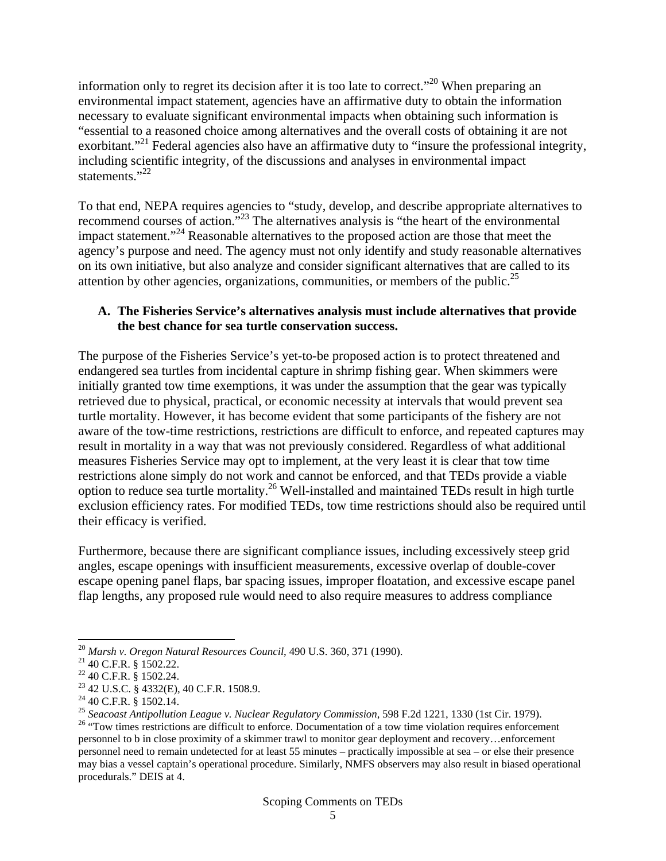information only to regret its decision after it is too late to correct."<sup>20</sup> When preparing an environmental impact statement, agencies have an affirmative duty to obtain the information necessary to evaluate significant environmental impacts when obtaining such information is "essential to a reasoned choice among alternatives and the overall costs of obtaining it are not exorbitant."<sup>21</sup> Federal agencies also have an affirmative duty to "insure the professional integrity, including scientific integrity, of the discussions and analyses in environmental impact statements."<sup>22</sup>

To that end, NEPA requires agencies to "study, develop, and describe appropriate alternatives to recommend courses of action."23 The alternatives analysis is "the heart of the environmental impact statement."24 Reasonable alternatives to the proposed action are those that meet the agency's purpose and need. The agency must not only identify and study reasonable alternatives on its own initiative, but also analyze and consider significant alternatives that are called to its attention by other agencies, organizations, communities, or members of the public.<sup>25</sup>

#### **A. The Fisheries Service's alternatives analysis must include alternatives that provide the best chance for sea turtle conservation success.**

The purpose of the Fisheries Service's yet-to-be proposed action is to protect threatened and endangered sea turtles from incidental capture in shrimp fishing gear. When skimmers were initially granted tow time exemptions, it was under the assumption that the gear was typically retrieved due to physical, practical, or economic necessity at intervals that would prevent sea turtle mortality. However, it has become evident that some participants of the fishery are not aware of the tow-time restrictions, restrictions are difficult to enforce, and repeated captures may result in mortality in a way that was not previously considered. Regardless of what additional measures Fisheries Service may opt to implement, at the very least it is clear that tow time restrictions alone simply do not work and cannot be enforced, and that TEDs provide a viable option to reduce sea turtle mortality.26 Well-installed and maintained TEDs result in high turtle exclusion efficiency rates. For modified TEDs, tow time restrictions should also be required until their efficacy is verified.

Furthermore, because there are significant compliance issues, including excessively steep grid angles, escape openings with insufficient measurements, excessive overlap of double-cover escape opening panel flaps, bar spacing issues, improper floatation, and excessive escape panel flap lengths, any proposed rule would need to also require measures to address compliance

<sup>&</sup>lt;sup>20</sup> *Marsh v. Oregon Natural Resources Council*, 490 U.S. 360, 371 (1990).<br><sup>21</sup> 40 C.F.R. § 1502.22.

<sup>22 40</sup> C.F.R. § 1502.24.

<sup>23 42</sup> U.S.C. § 4332(E), 40 C.F.R. 1508.9.

<sup>&</sup>lt;sup>24</sup> 40 C.F.R. § 1502.14.<br><sup>25</sup> Seacoast Antipollution League v. Nuclear Regulatory Commission, 598 F.2d 1221, 1330 (1st Cir. 1979).

<sup>&</sup>lt;sup>26</sup> "Tow times restrictions are difficult to enforce. Documentation of a tow time violation requires enforcement personnel to b in close proximity of a skimmer trawl to monitor gear deployment and recovery…enforcement personnel need to remain undetected for at least 55 minutes – practically impossible at sea – or else their presence may bias a vessel captain's operational procedure. Similarly, NMFS observers may also result in biased operational procedurals." DEIS at 4.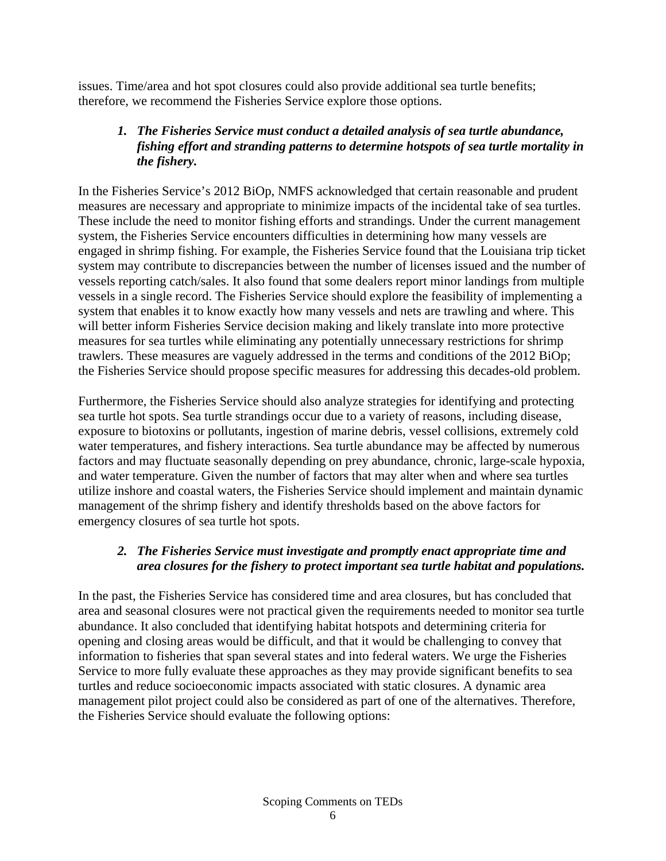issues. Time/area and hot spot closures could also provide additional sea turtle benefits; therefore, we recommend the Fisheries Service explore those options.

### *1. The Fisheries Service must conduct a detailed analysis of sea turtle abundance, fishing effort and stranding patterns to determine hotspots of sea turtle mortality in the fishery.*

In the Fisheries Service's 2012 BiOp, NMFS acknowledged that certain reasonable and prudent measures are necessary and appropriate to minimize impacts of the incidental take of sea turtles. These include the need to monitor fishing efforts and strandings. Under the current management system, the Fisheries Service encounters difficulties in determining how many vessels are engaged in shrimp fishing. For example, the Fisheries Service found that the Louisiana trip ticket system may contribute to discrepancies between the number of licenses issued and the number of vessels reporting catch/sales. It also found that some dealers report minor landings from multiple vessels in a single record. The Fisheries Service should explore the feasibility of implementing a system that enables it to know exactly how many vessels and nets are trawling and where. This will better inform Fisheries Service decision making and likely translate into more protective measures for sea turtles while eliminating any potentially unnecessary restrictions for shrimp trawlers. These measures are vaguely addressed in the terms and conditions of the 2012 BiOp; the Fisheries Service should propose specific measures for addressing this decades-old problem.

Furthermore, the Fisheries Service should also analyze strategies for identifying and protecting sea turtle hot spots. Sea turtle strandings occur due to a variety of reasons, including disease, exposure to biotoxins or pollutants, ingestion of marine debris, vessel collisions, extremely cold water temperatures, and fishery interactions. Sea turtle abundance may be affected by numerous factors and may fluctuate seasonally depending on prey abundance, chronic, large-scale hypoxia, and water temperature. Given the number of factors that may alter when and where sea turtles utilize inshore and coastal waters, the Fisheries Service should implement and maintain dynamic management of the shrimp fishery and identify thresholds based on the above factors for emergency closures of sea turtle hot spots.

### *2. The Fisheries Service must investigate and promptly enact appropriate time and area closures for the fishery to protect important sea turtle habitat and populations.*

In the past, the Fisheries Service has considered time and area closures, but has concluded that area and seasonal closures were not practical given the requirements needed to monitor sea turtle abundance. It also concluded that identifying habitat hotspots and determining criteria for opening and closing areas would be difficult, and that it would be challenging to convey that information to fisheries that span several states and into federal waters. We urge the Fisheries Service to more fully evaluate these approaches as they may provide significant benefits to sea turtles and reduce socioeconomic impacts associated with static closures. A dynamic area management pilot project could also be considered as part of one of the alternatives. Therefore, the Fisheries Service should evaluate the following options: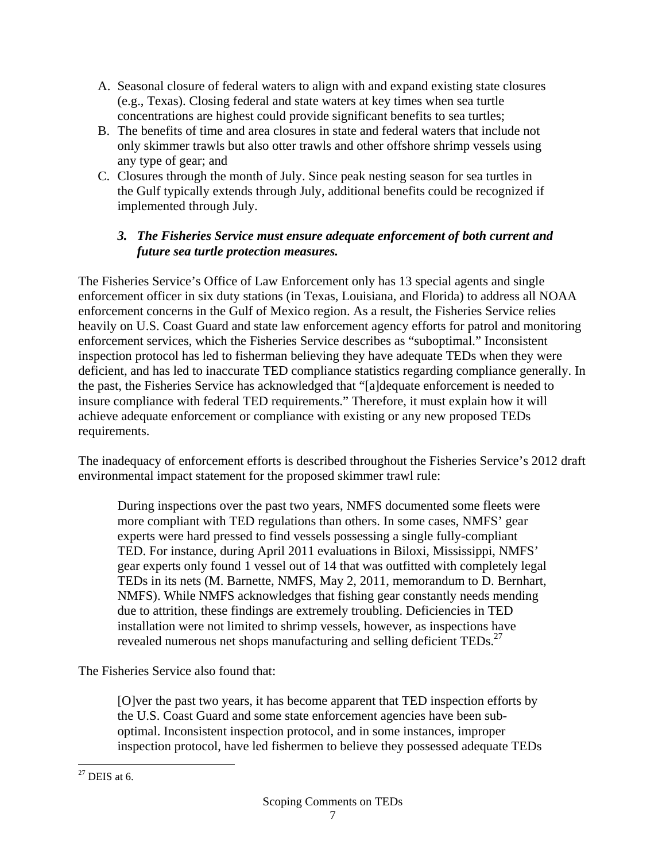- A. Seasonal closure of federal waters to align with and expand existing state closures (e.g., Texas). Closing federal and state waters at key times when sea turtle concentrations are highest could provide significant benefits to sea turtles;
- B. The benefits of time and area closures in state and federal waters that include not only skimmer trawls but also otter trawls and other offshore shrimp vessels using any type of gear; and
- C. Closures through the month of July. Since peak nesting season for sea turtles in the Gulf typically extends through July, additional benefits could be recognized if implemented through July.

### *3. The Fisheries Service must ensure adequate enforcement of both current and future sea turtle protection measures.*

The Fisheries Service's Office of Law Enforcement only has 13 special agents and single enforcement officer in six duty stations (in Texas, Louisiana, and Florida) to address all NOAA enforcement concerns in the Gulf of Mexico region. As a result, the Fisheries Service relies heavily on U.S. Coast Guard and state law enforcement agency efforts for patrol and monitoring enforcement services, which the Fisheries Service describes as "suboptimal." Inconsistent inspection protocol has led to fisherman believing they have adequate TEDs when they were deficient, and has led to inaccurate TED compliance statistics regarding compliance generally. In the past, the Fisheries Service has acknowledged that "[a]dequate enforcement is needed to insure compliance with federal TED requirements." Therefore, it must explain how it will achieve adequate enforcement or compliance with existing or any new proposed TEDs requirements.

The inadequacy of enforcement efforts is described throughout the Fisheries Service's 2012 draft environmental impact statement for the proposed skimmer trawl rule:

During inspections over the past two years, NMFS documented some fleets were more compliant with TED regulations than others. In some cases, NMFS' gear experts were hard pressed to find vessels possessing a single fully-compliant TED. For instance, during April 2011 evaluations in Biloxi, Mississippi, NMFS' gear experts only found 1 vessel out of 14 that was outfitted with completely legal TEDs in its nets (M. Barnette, NMFS, May 2, 2011, memorandum to D. Bernhart, NMFS). While NMFS acknowledges that fishing gear constantly needs mending due to attrition, these findings are extremely troubling. Deficiencies in TED installation were not limited to shrimp vessels, however, as inspections have revealed numerous net shops manufacturing and selling deficient TEDs.<sup>27</sup>

The Fisheries Service also found that:

[O]ver the past two years, it has become apparent that TED inspection efforts by the U.S. Coast Guard and some state enforcement agencies have been suboptimal. Inconsistent inspection protocol, and in some instances, improper inspection protocol, have led fishermen to believe they possessed adequate TEDs

  $27$  DEIS at 6.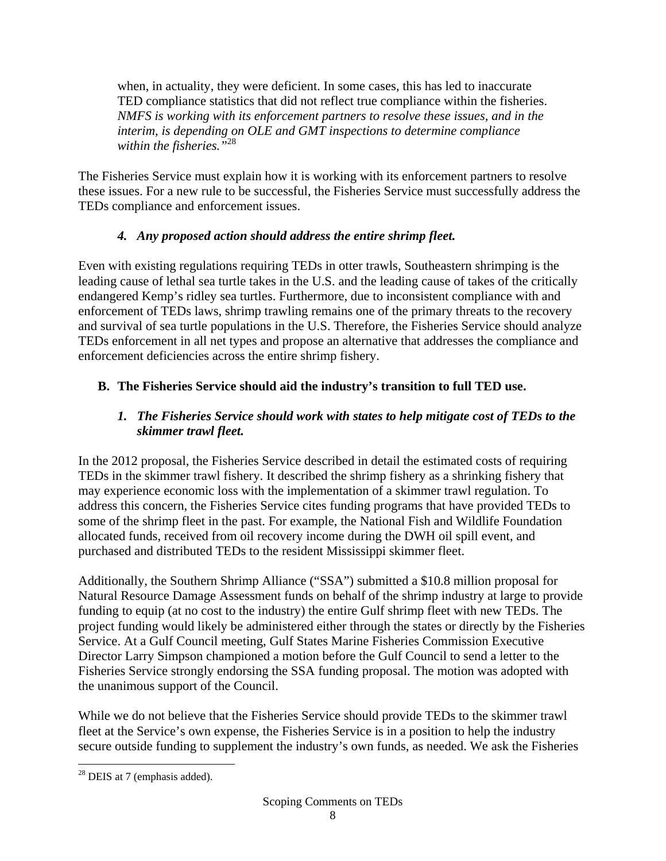when, in actuality, they were deficient. In some cases, this has led to inaccurate TED compliance statistics that did not reflect true compliance within the fisheries. *NMFS is working with its enforcement partners to resolve these issues, and in the interim, is depending on OLE and GMT inspections to determine compliance within the fisheries."*<sup>28</sup>

The Fisheries Service must explain how it is working with its enforcement partners to resolve these issues. For a new rule to be successful, the Fisheries Service must successfully address the TEDs compliance and enforcement issues.

# *4. Any proposed action should address the entire shrimp fleet.*

Even with existing regulations requiring TEDs in otter trawls, Southeastern shrimping is the leading cause of lethal sea turtle takes in the U.S. and the leading cause of takes of the critically endangered Kemp's ridley sea turtles. Furthermore, due to inconsistent compliance with and enforcement of TEDs laws, shrimp trawling remains one of the primary threats to the recovery and survival of sea turtle populations in the U.S. Therefore, the Fisheries Service should analyze TEDs enforcement in all net types and propose an alternative that addresses the compliance and enforcement deficiencies across the entire shrimp fishery.

# **B. The Fisheries Service should aid the industry's transition to full TED use.**

# *1. The Fisheries Service should work with states to help mitigate cost of TEDs to the skimmer trawl fleet.*

In the 2012 proposal, the Fisheries Service described in detail the estimated costs of requiring TEDs in the skimmer trawl fishery. It described the shrimp fishery as a shrinking fishery that may experience economic loss with the implementation of a skimmer trawl regulation. To address this concern, the Fisheries Service cites funding programs that have provided TEDs to some of the shrimp fleet in the past. For example, the National Fish and Wildlife Foundation allocated funds, received from oil recovery income during the DWH oil spill event, and purchased and distributed TEDs to the resident Mississippi skimmer fleet.

Additionally, the Southern Shrimp Alliance ("SSA") submitted a \$10.8 million proposal for Natural Resource Damage Assessment funds on behalf of the shrimp industry at large to provide funding to equip (at no cost to the industry) the entire Gulf shrimp fleet with new TEDs. The project funding would likely be administered either through the states or directly by the Fisheries Service. At a Gulf Council meeting, Gulf States Marine Fisheries Commission Executive Director Larry Simpson championed a motion before the Gulf Council to send a letter to the Fisheries Service strongly endorsing the SSA funding proposal. The motion was adopted with the unanimous support of the Council.

While we do not believe that the Fisheries Service should provide TEDs to the skimmer trawl fleet at the Service's own expense, the Fisheries Service is in a position to help the industry secure outside funding to supplement the industry's own funds, as needed. We ask the Fisheries

  $28$  DEIS at 7 (emphasis added).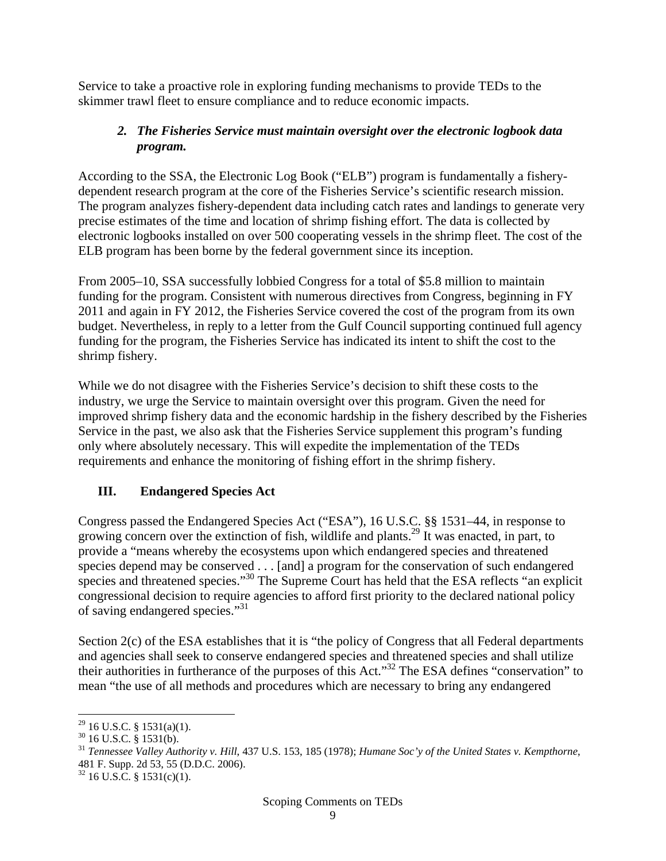Service to take a proactive role in exploring funding mechanisms to provide TEDs to the skimmer trawl fleet to ensure compliance and to reduce economic impacts.

### *2. The Fisheries Service must maintain oversight over the electronic logbook data program.*

According to the SSA, the Electronic Log Book ("ELB") program is fundamentally a fisherydependent research program at the core of the Fisheries Service's scientific research mission. The program analyzes fishery-dependent data including catch rates and landings to generate very precise estimates of the time and location of shrimp fishing effort. The data is collected by electronic logbooks installed on over 500 cooperating vessels in the shrimp fleet. The cost of the ELB program has been borne by the federal government since its inception.

From 2005–10, SSA successfully lobbied Congress for a total of \$5.8 million to maintain funding for the program. Consistent with numerous directives from Congress, beginning in FY 2011 and again in FY 2012, the Fisheries Service covered the cost of the program from its own budget. Nevertheless, in reply to a letter from the Gulf Council supporting continued full agency funding for the program, the Fisheries Service has indicated its intent to shift the cost to the shrimp fishery.

While we do not disagree with the Fisheries Service's decision to shift these costs to the industry, we urge the Service to maintain oversight over this program. Given the need for improved shrimp fishery data and the economic hardship in the fishery described by the Fisheries Service in the past, we also ask that the Fisheries Service supplement this program's funding only where absolutely necessary. This will expedite the implementation of the TEDs requirements and enhance the monitoring of fishing effort in the shrimp fishery.

## **III. Endangered Species Act**

Congress passed the Endangered Species Act ("ESA"), 16 U.S.C. §§ 1531–44, in response to growing concern over the extinction of fish, wildlife and plants.<sup>29</sup> It was enacted, in part, to provide a "means whereby the ecosystems upon which endangered species and threatened species depend may be conserved . . . [and] a program for the conservation of such endangered species and threatened species."<sup>30</sup> The Supreme Court has held that the ESA reflects "an explicit" congressional decision to require agencies to afford first priority to the declared national policy of saving endangered species."31

Section 2(c) of the ESA establishes that it is "the policy of Congress that all Federal departments and agencies shall seek to conserve endangered species and threatened species and shall utilize their authorities in furtherance of the purposes of this Act."32 The ESA defines "conservation" to mean "the use of all methods and procedures which are necessary to bring any endangered

 $^{29}$  16 U.S.C. § 1531(a)(1).

 $30$  16 U.S.C. § 1531(b).

<sup>31</sup> *Tennessee Valley Authority v. Hill*, 437 U.S. 153, 185 (1978); *Humane Soc'y of the United States v. Kempthorne*, 481 F. Supp. 2d 53, 55 (D.D.C. 2006).

 $32$  16 U.S.C. § 1531(c)(1).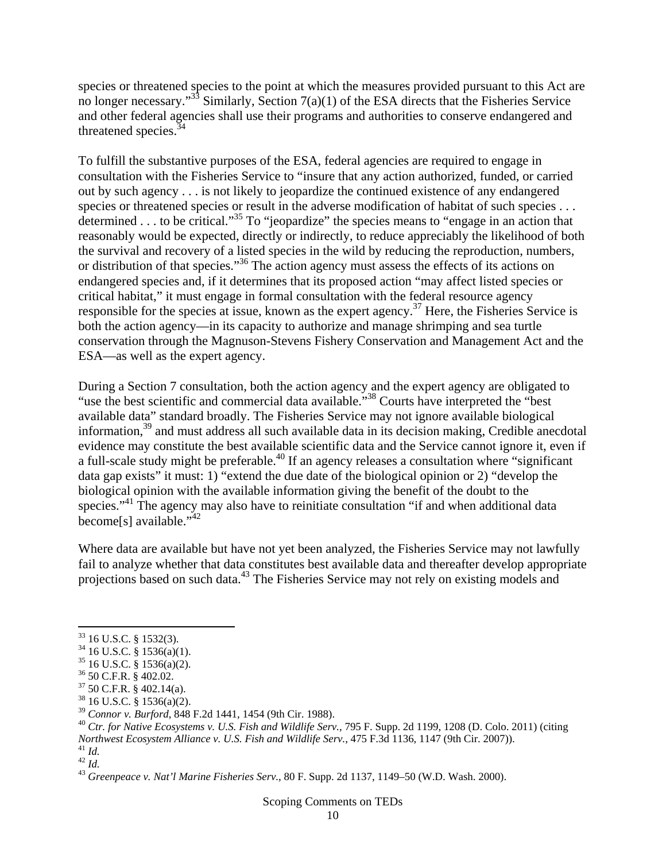species or threatened species to the point at which the measures provided pursuant to this Act are no longer necessary." $33\$  Similarly, Section 7(a)(1) of the ESA directs that the Fisheries Service and other federal agencies shall use their programs and authorities to conserve endangered and threatened species.<sup>34</sup>

To fulfill the substantive purposes of the ESA, federal agencies are required to engage in consultation with the Fisheries Service to "insure that any action authorized, funded, or carried out by such agency . . . is not likely to jeopardize the continued existence of any endangered species or threatened species or result in the adverse modification of habitat of such species . . . determined . . . to be critical."35 To "jeopardize" the species means to "engage in an action that reasonably would be expected, directly or indirectly, to reduce appreciably the likelihood of both the survival and recovery of a listed species in the wild by reducing the reproduction, numbers, or distribution of that species."36 The action agency must assess the effects of its actions on endangered species and, if it determines that its proposed action "may affect listed species or critical habitat," it must engage in formal consultation with the federal resource agency responsible for the species at issue, known as the expert agency.<sup>37</sup> Here, the Fisheries Service is both the action agency—in its capacity to authorize and manage shrimping and sea turtle conservation through the Magnuson-Stevens Fishery Conservation and Management Act and the ESA—as well as the expert agency.

During a Section 7 consultation, both the action agency and the expert agency are obligated to "use the best scientific and commercial data available."<sup>38</sup> Courts have interpreted the "best available data" standard broadly. The Fisheries Service may not ignore available biological information,39 and must address all such available data in its decision making, Credible anecdotal evidence may constitute the best available scientific data and the Service cannot ignore it, even if a full-scale study might be preferable.<sup>40</sup> If an agency releases a consultation where "significant" data gap exists" it must: 1) "extend the due date of the biological opinion or 2) "develop the biological opinion with the available information giving the benefit of the doubt to the species."<sup>41</sup> The agency may also have to reinitiate consultation "if and when additional data become[s] available."<sup>42</sup>

Where data are available but have not yet been analyzed, the Fisheries Service may not lawfully fail to analyze whether that data constitutes best available data and thereafter develop appropriate projections based on such data.<sup>43</sup> The Fisheries Service may not rely on existing models and

 $33$  16 U.S.C. § 1532(3).

 $34$  16 U.S.C. § 1536(a)(1).

<sup>35 16</sup> U.S.C. § 1536(a)(2).

<sup>36 50</sup> C.F.R. § 402.02.

 $37$  50 C.F.R. § 402.14(a).

 $^{38}$  16 U.S.C. § 1536(a)(2).<br> $^{39}$  Connor v. Burford, 848 F.2d 1441, 1454 (9th Cir. 1988).

<sup>&</sup>lt;sup>40</sup> *Ctr. for Native Ecosystems v. U.S. Fish and Wildlife Serv.*, 795 F. Supp. 2d 1199, 1208 (D. Colo. 2011) (citing *Northwest Ecosystem Alliance v. U.S. Fish and Wildlife Serv., 170 F.* Supp. 2d 1199, 1208 (D. Colo. 2d 113d, 1147 (9th Cir. 2007)).<br><sup>41</sup> *Id.*<br><sup>42</sup> *Id.*<br><sup>43</sup> Greenpeace v. Nat'l Marine Fisheries Serv., 80 F. Supp. 2d 11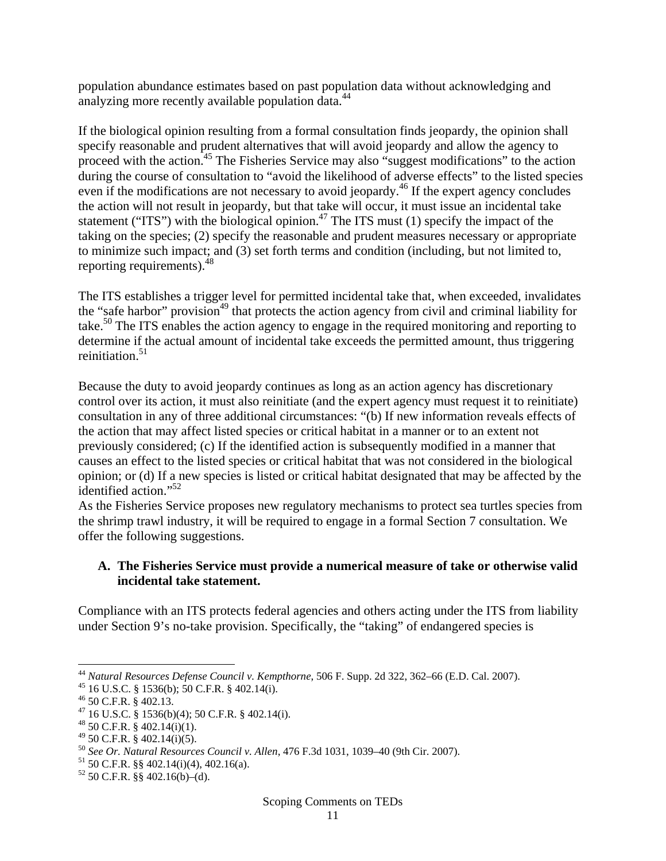population abundance estimates based on past population data without acknowledging and analyzing more recently available population data.<sup>44</sup>

If the biological opinion resulting from a formal consultation finds jeopardy, the opinion shall specify reasonable and prudent alternatives that will avoid jeopardy and allow the agency to proceed with the action.<sup>45</sup> The Fisheries Service may also "suggest modifications" to the action during the course of consultation to "avoid the likelihood of adverse effects" to the listed species even if the modifications are not necessary to avoid jeopardy.<sup>46</sup> If the expert agency concludes the action will not result in jeopardy, but that take will occur, it must issue an incidental take statement ("ITS") with the biological opinion.<sup>47</sup> The ITS must (1) specify the impact of the taking on the species; (2) specify the reasonable and prudent measures necessary or appropriate to minimize such impact; and (3) set forth terms and condition (including, but not limited to, reporting requirements).48

The ITS establishes a trigger level for permitted incidental take that, when exceeded, invalidates the "safe harbor" provision<sup>49</sup> that protects the action agency from civil and criminal liability for take.<sup>50</sup> The ITS enables the action agency to engage in the required monitoring and reporting to determine if the actual amount of incidental take exceeds the permitted amount, thus triggering reinitiation. $51$ 

Because the duty to avoid jeopardy continues as long as an action agency has discretionary control over its action, it must also reinitiate (and the expert agency must request it to reinitiate) consultation in any of three additional circumstances: "(b) If new information reveals effects of the action that may affect listed species or critical habitat in a manner or to an extent not previously considered; (c) If the identified action is subsequently modified in a manner that causes an effect to the listed species or critical habitat that was not considered in the biological opinion; or (d) If a new species is listed or critical habitat designated that may be affected by the identified action."<sup>52</sup>

As the Fisheries Service proposes new regulatory mechanisms to protect sea turtles species from the shrimp trawl industry, it will be required to engage in a formal Section 7 consultation. We offer the following suggestions.

#### **A. The Fisheries Service must provide a numerical measure of take or otherwise valid incidental take statement.**

Compliance with an ITS protects federal agencies and others acting under the ITS from liability under Section 9's no-take provision. Specifically, the "taking" of endangered species is

<sup>44</sup> *Natural Resources Defense Council v. Kempthorne*, 506 F. Supp. 2d 322, 362–66 (E.D. Cal. 2007). 45 16 U.S.C. § 1536(b); 50 C.F.R. § 402.14(i).

<sup>&</sup>lt;sup>45</sup> 16 U.S.C. § 1536(b); 50 C.F.R. § 402.14(i).<br><sup>46</sup> 50 C.F.R. § 402.13.

<sup>&</sup>lt;sup>47</sup> 16 U.S.C. § 1536(b)(4); 50 C.F.R. § 402.14(i). <sup>48</sup> 50 C.F.R. § 402.14(i)(1).

 $^{49}$  50 C.F.R. § 402.14(i)(5).

<sup>50</sup> *See Or. Natural Resources Council v. Allen*, 476 F.3d 1031, 1039–40 (9th Cir. 2007). 51 50 C.F.R. §§ 402.14(i)(4), 402.16(a).

 $52$  50 C.F.R. §§ 402.16(b)–(d).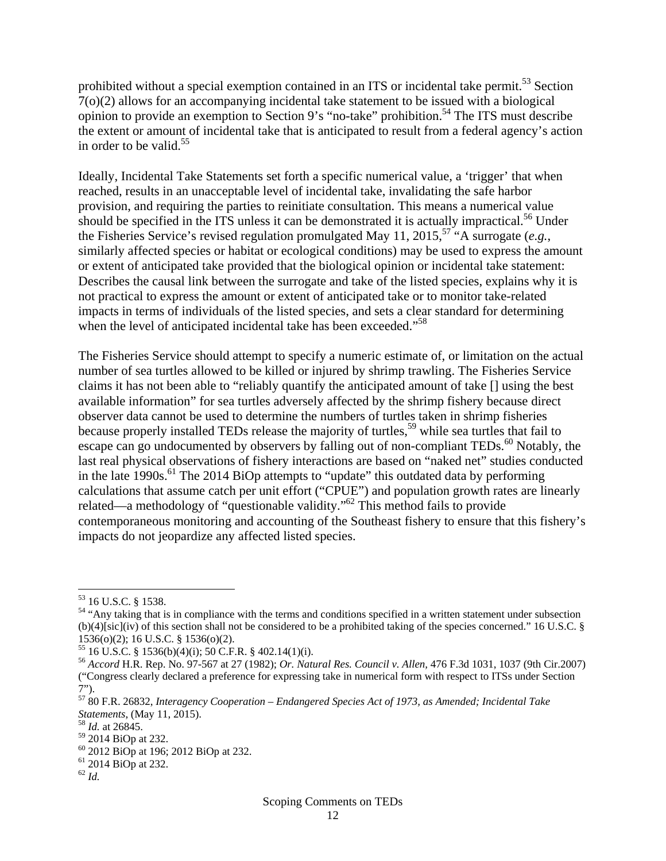prohibited without a special exemption contained in an ITS or incidental take permit.<sup>53</sup> Section 7(o)(2) allows for an accompanying incidental take statement to be issued with a biological opinion to provide an exemption to Section 9's "no-take" prohibition.<sup>54</sup> The ITS must describe the extent or amount of incidental take that is anticipated to result from a federal agency's action in order to be valid.<sup>55</sup>

Ideally, Incidental Take Statements set forth a specific numerical value, a 'trigger' that when reached, results in an unacceptable level of incidental take, invalidating the safe harbor provision, and requiring the parties to reinitiate consultation. This means a numerical value should be specified in the ITS unless it can be demonstrated it is actually impractical.<sup>56</sup> Under the Fisheries Service's revised regulation promulgated May 11, 2015,<sup>57</sup> "A surrogate (*e.g.*, similarly affected species or habitat or ecological conditions) may be used to express the amount or extent of anticipated take provided that the biological opinion or incidental take statement: Describes the causal link between the surrogate and take of the listed species, explains why it is not practical to express the amount or extent of anticipated take or to monitor take-related impacts in terms of individuals of the listed species, and sets a clear standard for determining when the level of anticipated incidental take has been exceeded."<sup>58</sup>

The Fisheries Service should attempt to specify a numeric estimate of, or limitation on the actual number of sea turtles allowed to be killed or injured by shrimp trawling. The Fisheries Service claims it has not been able to "reliably quantify the anticipated amount of take [] using the best available information" for sea turtles adversely affected by the shrimp fishery because direct observer data cannot be used to determine the numbers of turtles taken in shrimp fisheries because properly installed TEDs release the majority of turtles,<sup>59</sup> while sea turtles that fail to escape can go undocumented by observers by falling out of non-compliant TEDs.<sup>60</sup> Notably, the last real physical observations of fishery interactions are based on "naked net" studies conducted in the late  $1990s$ .<sup>61</sup> The 2014 BiOp attempts to "update" this outdated data by performing calculations that assume catch per unit effort ("CPUE") and population growth rates are linearly related—a methodology of "questionable validity."<sup>62</sup> This method fails to provide contemporaneous monitoring and accounting of the Southeast fishery to ensure that this fishery's impacts do not jeopardize any affected listed species.

 53 16 U.S.C. § 1538.

<sup>&</sup>lt;sup>54</sup> "Any taking that is in compliance with the terms and conditions specified in a written statement under subsection (b)(4)[sic](iv) of this section shall not be considered to be a prohibited taking of the species concerned." 16 U.S.C. § 1536(o)(2); 16 U.S.C. § 1536(o)(2).<br><sup>55</sup> 16 U.S.C. § 1536(b)(4)(i); 50 C.F.R. § 402.14(1)(i).

<sup>55 16</sup> U.S.C. § 1536(b)(4)(i); 50 C.F.R. § 402.14(1)(i). 56 *Accord* H.R. Rep. No. 97-567 at 27 (1982); *Or. Natural Res. Council v. Allen,* 476 F.3d 1031, 1037 (9th Cir.2007) ("Congress clearly declared a preference for expressing take in numerical form with respect to ITSs under Section 7").

<sup>57 80</sup> F.R. 26832, *Interagency Cooperation – Endangered Species Act of 1973, as Amended; Incidental Take Statements*, (May 11, 2015). 58 *Id.* at 26845.

<sup>59 2014</sup> BiOp at 232.

<sup>60 2012</sup> BiOp at 196; 2012 BiOp at 232.

<sup>61 2014</sup> BiOp at 232.

 $62$  *Id.*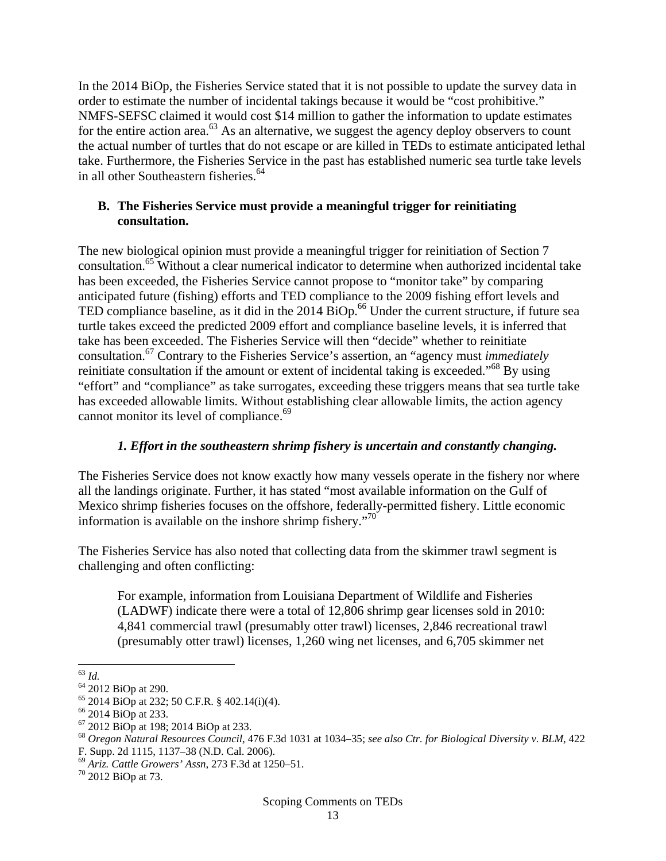In the 2014 BiOp, the Fisheries Service stated that it is not possible to update the survey data in order to estimate the number of incidental takings because it would be "cost prohibitive." NMFS-SEFSC claimed it would cost \$14 million to gather the information to update estimates for the entire action area. $^{63}$  As an alternative, we suggest the agency deploy observers to count the actual number of turtles that do not escape or are killed in TEDs to estimate anticipated lethal take. Furthermore, the Fisheries Service in the past has established numeric sea turtle take levels in all other Southeastern fisheries.<sup>64</sup>

#### **B. The Fisheries Service must provide a meaningful trigger for reinitiating consultation.**

The new biological opinion must provide a meaningful trigger for reinitiation of Section 7 consultation.65 Without a clear numerical indicator to determine when authorized incidental take has been exceeded, the Fisheries Service cannot propose to "monitor take" by comparing anticipated future (fishing) efforts and TED compliance to the 2009 fishing effort levels and TED compliance baseline, as it did in the 2014 BiOp.<sup>66</sup> Under the current structure, if future sea turtle takes exceed the predicted 2009 effort and compliance baseline levels, it is inferred that take has been exceeded. The Fisheries Service will then "decide" whether to reinitiate consultation.67 Contrary to the Fisheries Service's assertion, an "agency must *immediately* reinitiate consultation if the amount or extent of incidental taking is exceeded."<sup>68</sup> By using "effort" and "compliance" as take surrogates, exceeding these triggers means that sea turtle take has exceeded allowable limits. Without establishing clear allowable limits, the action agency cannot monitor its level of compliance. $69$ 

## *1. Effort in the southeastern shrimp fishery is uncertain and constantly changing.*

The Fisheries Service does not know exactly how many vessels operate in the fishery nor where all the landings originate. Further, it has stated "most available information on the Gulf of Mexico shrimp fisheries focuses on the offshore, federally-permitted fishery. Little economic information is available on the inshore shrimp fishery. $\cdot$ <sup>70</sup>

The Fisheries Service has also noted that collecting data from the skimmer trawl segment is challenging and often conflicting:

For example, information from Louisiana Department of Wildlife and Fisheries (LADWF) indicate there were a total of 12,806 shrimp gear licenses sold in 2010: 4,841 commercial trawl (presumably otter trawl) licenses, 2,846 recreational trawl (presumably otter trawl) licenses, 1,260 wing net licenses, and 6,705 skimmer net

<sup>63</sup> *Id.* 64 2012 BiOp at 290.

 $65$  2014 BiOp at 232; 50 C.F.R. § 402.14(i)(4).

 $^{66}$  2014 BiOp at 233.<br> $^{67}$  2012 BiOp at 198; 2014 BiOp at 233.

<sup>67 2012</sup> BiOp at 198; 2014 BiOp at 233. 68 *Oregon Natural Resources Council*, 476 F.3d 1031 at 1034–35; *see also Ctr. for Biological Diversity v. BLM*, <sup>422</sup> F. Supp. 2d 1115, 1137–38 (N.D. Cal. 2006).

<sup>&</sup>lt;sup>69</sup> *Ariz. Cattle Growers' Assn*, 273 F.3d at 1250–51.<br><sup>70</sup> 2012 BiOp at 73.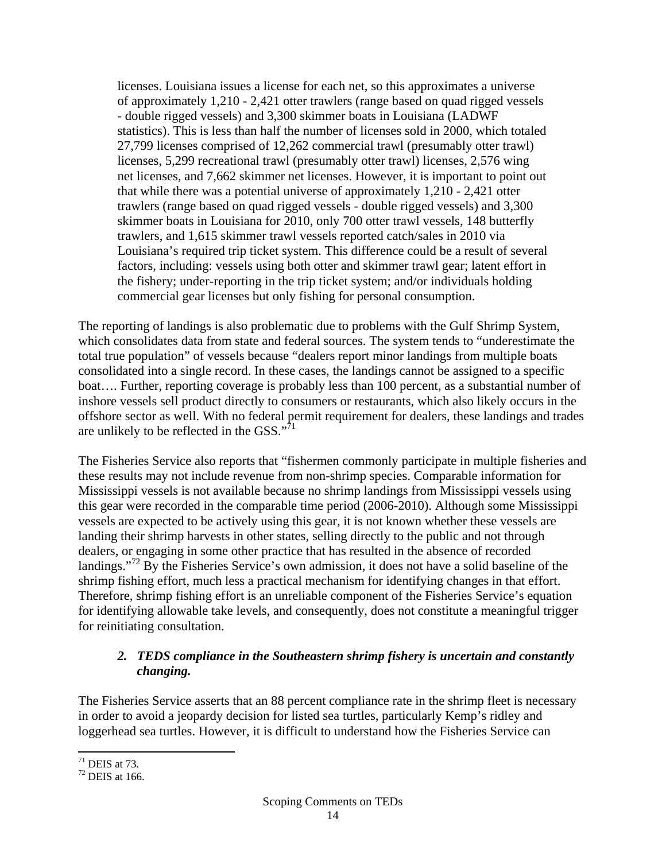licenses. Louisiana issues a license for each net, so this approximates a universe of approximately 1,210 - 2,421 otter trawlers (range based on quad rigged vessels - double rigged vessels) and 3,300 skimmer boats in Louisiana (LADWF statistics). This is less than half the number of licenses sold in 2000, which totaled 27,799 licenses comprised of 12,262 commercial trawl (presumably otter trawl) licenses, 5,299 recreational trawl (presumably otter trawl) licenses, 2,576 wing net licenses, and 7,662 skimmer net licenses. However, it is important to point out that while there was a potential universe of approximately 1,210 - 2,421 otter trawlers (range based on quad rigged vessels - double rigged vessels) and 3,300 skimmer boats in Louisiana for 2010, only 700 otter trawl vessels, 148 butterfly trawlers, and 1,615 skimmer trawl vessels reported catch/sales in 2010 via Louisiana's required trip ticket system. This difference could be a result of several factors, including: vessels using both otter and skimmer trawl gear; latent effort in the fishery; under-reporting in the trip ticket system; and/or individuals holding commercial gear licenses but only fishing for personal consumption.

The reporting of landings is also problematic due to problems with the Gulf Shrimp System, which consolidates data from state and federal sources. The system tends to "underestimate the total true population" of vessels because "dealers report minor landings from multiple boats consolidated into a single record. In these cases, the landings cannot be assigned to a specific boat…. Further, reporting coverage is probably less than 100 percent, as a substantial number of inshore vessels sell product directly to consumers or restaurants, which also likely occurs in the offshore sector as well. With no federal permit requirement for dealers, these landings and trades are unlikely to be reflected in the GSS." $71$ 

The Fisheries Service also reports that "fishermen commonly participate in multiple fisheries and these results may not include revenue from non-shrimp species. Comparable information for Mississippi vessels is not available because no shrimp landings from Mississippi vessels using this gear were recorded in the comparable time period (2006-2010). Although some Mississippi vessels are expected to be actively using this gear, it is not known whether these vessels are landing their shrimp harvests in other states, selling directly to the public and not through dealers, or engaging in some other practice that has resulted in the absence of recorded landings."<sup>72</sup> By the Fisheries Service's own admission, it does not have a solid baseline of the shrimp fishing effort, much less a practical mechanism for identifying changes in that effort. Therefore, shrimp fishing effort is an unreliable component of the Fisheries Service's equation for identifying allowable take levels, and consequently, does not constitute a meaningful trigger for reinitiating consultation.

### *2. TEDS compliance in the Southeastern shrimp fishery is uncertain and constantly changing.*

The Fisheries Service asserts that an 88 percent compliance rate in the shrimp fleet is necessary in order to avoid a jeopardy decision for listed sea turtles, particularly Kemp's ridley and loggerhead sea turtles. However, it is difficult to understand how the Fisheries Service can

 71 DEIS at 73*.* 72 DEIS at 166.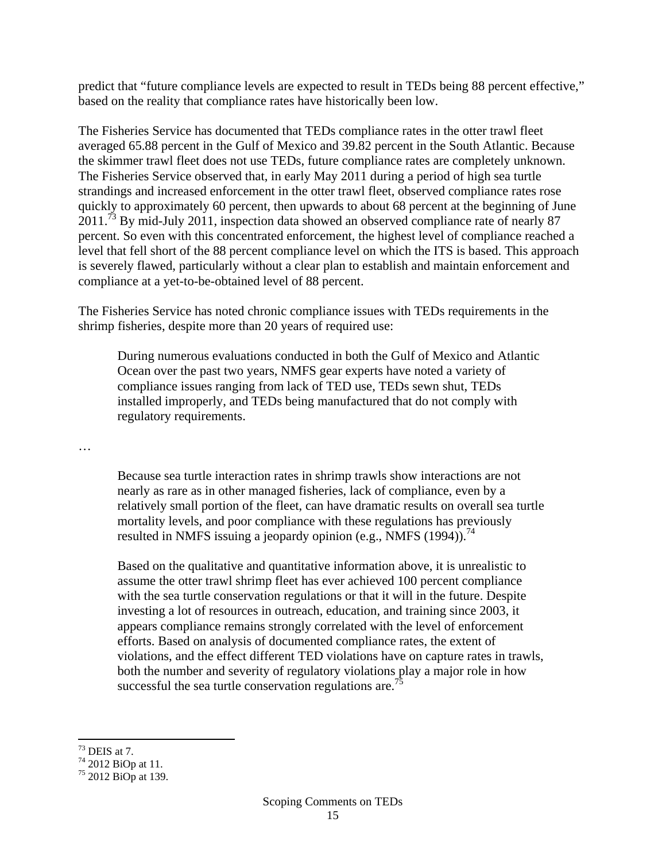predict that "future compliance levels are expected to result in TEDs being 88 percent effective," based on the reality that compliance rates have historically been low.

The Fisheries Service has documented that TEDs compliance rates in the otter trawl fleet averaged 65.88 percent in the Gulf of Mexico and 39.82 percent in the South Atlantic. Because the skimmer trawl fleet does not use TEDs, future compliance rates are completely unknown. The Fisheries Service observed that, in early May 2011 during a period of high sea turtle strandings and increased enforcement in the otter trawl fleet, observed compliance rates rose quickly to approximately 60 percent, then upwards to about 68 percent at the beginning of June 2011.73 By mid-July 2011, inspection data showed an observed compliance rate of nearly 87 percent. So even with this concentrated enforcement, the highest level of compliance reached a level that fell short of the 88 percent compliance level on which the ITS is based. This approach is severely flawed, particularly without a clear plan to establish and maintain enforcement and compliance at a yet-to-be-obtained level of 88 percent.

The Fisheries Service has noted chronic compliance issues with TEDs requirements in the shrimp fisheries, despite more than 20 years of required use:

During numerous evaluations conducted in both the Gulf of Mexico and Atlantic Ocean over the past two years, NMFS gear experts have noted a variety of compliance issues ranging from lack of TED use, TEDs sewn shut, TEDs installed improperly, and TEDs being manufactured that do not comply with regulatory requirements.

…

Because sea turtle interaction rates in shrimp trawls show interactions are not nearly as rare as in other managed fisheries, lack of compliance, even by a relatively small portion of the fleet, can have dramatic results on overall sea turtle mortality levels, and poor compliance with these regulations has previously resulted in NMFS issuing a jeopardy opinion (e.g., NMFS  $(1994)$ ).<sup>74</sup>

Based on the qualitative and quantitative information above, it is unrealistic to assume the otter trawl shrimp fleet has ever achieved 100 percent compliance with the sea turtle conservation regulations or that it will in the future. Despite investing a lot of resources in outreach, education, and training since 2003, it appears compliance remains strongly correlated with the level of enforcement efforts. Based on analysis of documented compliance rates, the extent of violations, and the effect different TED violations have on capture rates in trawls, both the number and severity of regulatory violations play a major role in how successful the sea turtle conservation regulations are.<sup>7</sup>

  $73$  DEIS at 7.

 $74\overline{2012}$  BiOp at 11.

<sup>75 2012</sup> BiOp at 139.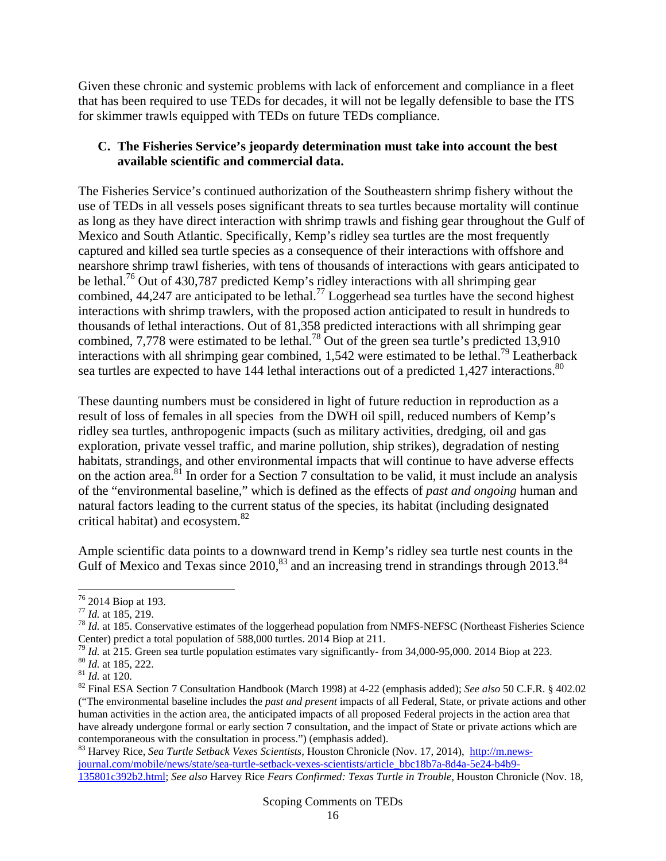Given these chronic and systemic problems with lack of enforcement and compliance in a fleet that has been required to use TEDs for decades, it will not be legally defensible to base the ITS for skimmer trawls equipped with TEDs on future TEDs compliance.

#### **C. The Fisheries Service's jeopardy determination must take into account the best available scientific and commercial data.**

The Fisheries Service's continued authorization of the Southeastern shrimp fishery without the use of TEDs in all vessels poses significant threats to sea turtles because mortality will continue as long as they have direct interaction with shrimp trawls and fishing gear throughout the Gulf of Mexico and South Atlantic. Specifically, Kemp's ridley sea turtles are the most frequently captured and killed sea turtle species as a consequence of their interactions with offshore and nearshore shrimp trawl fisheries, with tens of thousands of interactions with gears anticipated to be lethal.<sup>76</sup> Out of 430,787 predicted Kemp's ridley interactions with all shrimping gear combined, 44,247 are anticipated to be lethal.<sup>77</sup> Loggerhead sea turtles have the second highest interactions with shrimp trawlers, with the proposed action anticipated to result in hundreds to thousands of lethal interactions. Out of 81,358 predicted interactions with all shrimping gear combined, 7,778 were estimated to be lethal.<sup>78</sup> Out of the green sea turtle's predicted 13,910 interactions with all shrimping gear combined,  $1,542$  were estimated to be lethal.<sup>79</sup> Leatherback sea turtles are expected to have 144 lethal interactions out of a predicted 1,427 interactions.<sup>80</sup>

These daunting numbers must be considered in light of future reduction in reproduction as a result of loss of females in all species from the DWH oil spill, reduced numbers of Kemp's ridley sea turtles, anthropogenic impacts (such as military activities, dredging, oil and gas exploration, private vessel traffic, and marine pollution, ship strikes), degradation of nesting habitats, strandings, and other environmental impacts that will continue to have adverse effects on the action area.<sup>81</sup> In order for a Section 7 consultation to be valid, it must include an analysis of the "environmental baseline," which is defined as the effects of *past and ongoing* human and natural factors leading to the current status of the species, its habitat (including designated critical habitat) and ecosystem. $82$ 

Ample scientific data points to a downward trend in Kemp's ridley sea turtle nest counts in the Gulf of Mexico and Texas since 2010,  $83$  and an increasing trend in strandings through 2013.  $84$ 

 $76$  2014 Biop at 193.

<sup>&</sup>lt;sup>77</sup> *Id.* at 185, 219.<br><sup>78</sup> *Id.* at 185. Conservative estimates of the loggerhead population from NMFS-NEFSC (Northeast Fisheries Science Center) predict a total population of 588,000 turtles. 2014 Biop at 211.<br><sup>79</sup> *Id.* at 215. Green sea turtle population estimates vary significantly-from 34,000-95,000. 2014 Biop at 223.

<sup>&</sup>lt;sup>80</sup> *Id.* at 185, 222.<br><sup>81</sup> *Id.* at 120.<br><sup>82</sup> Final ESA Section 7 Consultation Handbook (March 1998) at 4-22 (emphasis added); *See also* 50 C.F.R. § 402.02 ("The environmental baseline includes the *past and present* impacts of all Federal, State, or private actions and other human activities in the action area, the anticipated impacts of all proposed Federal projects in the action area that have already undergone formal or early section 7 consultation, and the impact of State or private actions which are contemporaneous with the consultation in process.") (emphasis added).

<sup>83</sup> Harvey Rice, *Sea Turtle Setback Vexes Scientists,* Houston Chronicle (Nov. 17, 2014), http://m.newsjournal.com/mobile/news/state/sea-turtle-setback-vexes-scientists/article\_bbc18b7a-8d4a-5e24-b4b9- 135801c392b2.html; *See also* Harvey Rice *Fears Confirmed: Texas Turtle in Trouble,* Houston Chronicle (Nov. 18,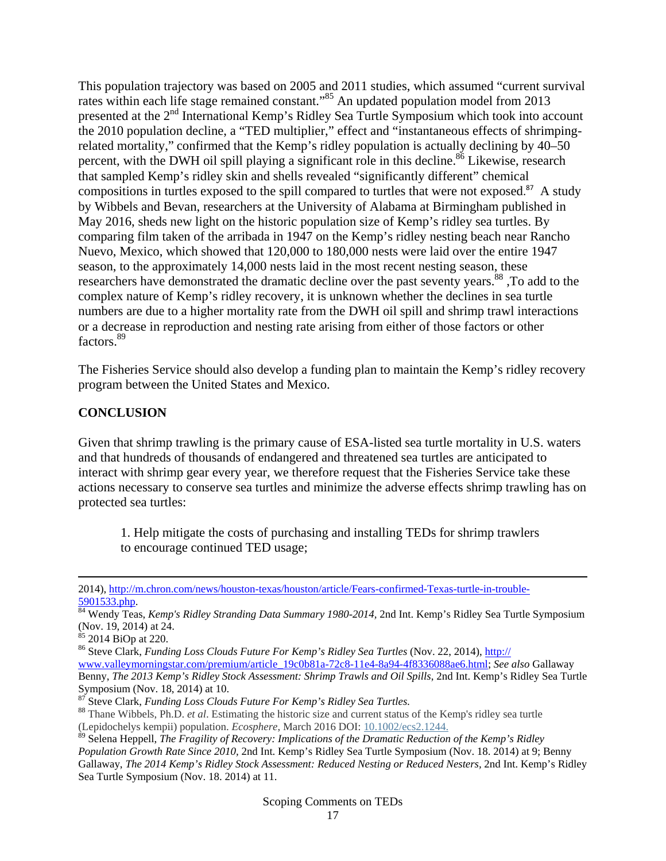This population trajectory was based on 2005 and 2011 studies, which assumed "current survival rates within each life stage remained constant."<sup>85</sup> An updated population model from 2013 presented at the 2<sup>nd</sup> International Kemp's Ridley Sea Turtle Symposium which took into account the 2010 population decline, a "TED multiplier," effect and "instantaneous effects of shrimpingrelated mortality," confirmed that the Kemp's ridley population is actually declining by 40–50 percent, with the DWH oil spill playing a significant role in this decline.<sup>86</sup> Likewise, research that sampled Kemp's ridley skin and shells revealed "significantly different" chemical compositions in turtles exposed to the spill compared to turtles that were not exposed. <sup>87</sup> A study by Wibbels and Bevan, researchers at the University of Alabama at Birmingham published in May 2016, sheds new light on the historic population size of Kemp's ridley sea turtles. By comparing film taken of the arribada in 1947 on the Kemp's ridley nesting beach near Rancho Nuevo, Mexico, which showed that 120,000 to 180,000 nests were laid over the entire 1947 season, to the approximately 14,000 nests laid in the most recent nesting season, these researchers have demonstrated the dramatic decline over the past seventy years.<sup>88</sup>, To add to the complex nature of Kemp's ridley recovery, it is unknown whether the declines in sea turtle numbers are due to a higher mortality rate from the DWH oil spill and shrimp trawl interactions or a decrease in reproduction and nesting rate arising from either of those factors or other factors.<sup>89</sup>

The Fisheries Service should also develop a funding plan to maintain the Kemp's ridley recovery program between the United States and Mexico.

#### **CONCLUSION**

Given that shrimp trawling is the primary cause of ESA-listed sea turtle mortality in U.S. waters and that hundreds of thousands of endangered and threatened sea turtles are anticipated to interact with shrimp gear every year, we therefore request that the Fisheries Service take these actions necessary to conserve sea turtles and minimize the adverse effects shrimp trawling has on protected sea turtles:

1. Help mitigate the costs of purchasing and installing TEDs for shrimp trawlers to encourage continued TED usage;

<u> 1989 - Johann Stein, marwolaethau a gweledydd a ganlad y ganlad y ganlad y ganlad y ganlad y ganlad y ganlad</u>

<sup>2014),</sup> http://m.chron.com/news/houston-texas/houston/article/Fears-confirmed-Texas-turtle-in-trouble-

<sup>5901533.</sup>php. 84 Wendy Teas, *Kemp's Ridley Stranding Data Summary 1980-2014,* 2nd Int. Kemp's Ridley Sea Turtle Symposium (Nov. 19, 2014) at 24.

 $85$  2014 BiOp at 220.

<sup>86</sup> Steve Clark, *Funding Loss Clouds Future For Kemp's Ridley Sea Turtles* (Nov. 22, 2014), http:// www.valleymorningstar.com/premium/article\_19c0b81a-72c8-11e4-8a94-4f8336088ae6.html; *See also* Gallaway Benny, *The 2013 Kemp's Ridley Stock Assessment: Shrimp Trawls and Oil Spills*, 2nd Int. Kemp's Ridley Sea Turtle Symposium (Nov. 18, 2014) at 10.<br><sup>87</sup> Steve Clark, *Funding Loss Clouds Future For Kemp's Ridley Sea Turtles.* 

<sup>&</sup>lt;sup>88</sup> Thane Wibbels, Ph.D. *et al.* Estimating the historic size and current status of the Kemp's ridley sea turtle (Lepidochelys kempii) population. *Ecosphere*, March 2016 DOI: 10.1002/ecs2.1244.

<sup>89</sup> Selena Heppell, *The Fragility of Recovery: Implications of the Dramatic Reduction of the Kemp's Ridley Population Growth Rate Since 2010,* 2nd Int. Kemp's Ridley Sea Turtle Symposium (Nov. 18. 2014) at 9; Benny Gallaway, *The 2014 Kemp's Ridley Stock Assessment: Reduced Nesting or Reduced Nesters,* 2nd Int. Kemp's Ridley Sea Turtle Symposium (Nov. 18. 2014) at 11.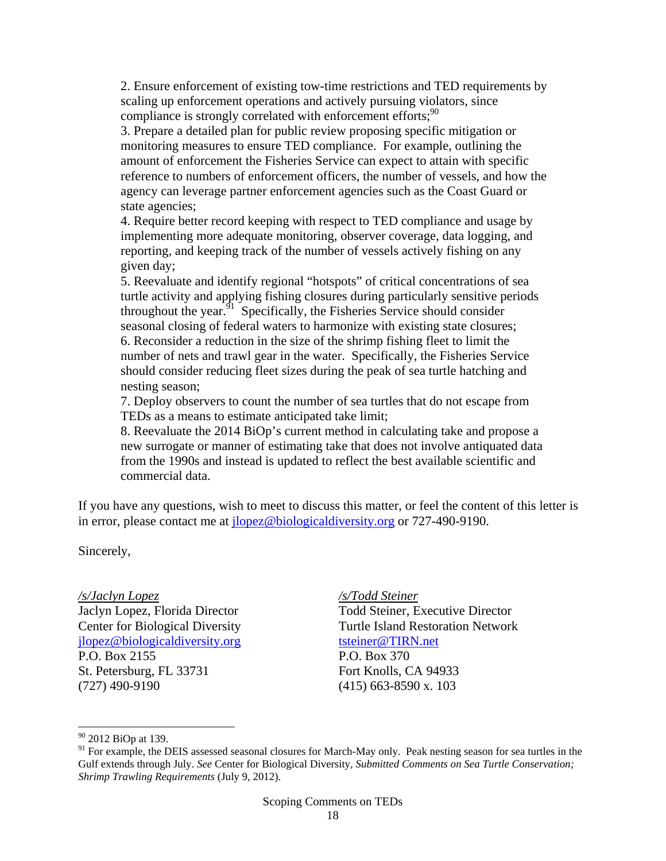2. Ensure enforcement of existing tow-time restrictions and TED requirements by scaling up enforcement operations and actively pursuing violators, since compliance is strongly correlated with enforcement efforts; $90$ 

3. Prepare a detailed plan for public review proposing specific mitigation or monitoring measures to ensure TED compliance. For example, outlining the amount of enforcement the Fisheries Service can expect to attain with specific reference to numbers of enforcement officers, the number of vessels, and how the agency can leverage partner enforcement agencies such as the Coast Guard or state agencies;

4. Require better record keeping with respect to TED compliance and usage by implementing more adequate monitoring, observer coverage, data logging, and reporting, and keeping track of the number of vessels actively fishing on any given day;

5. Reevaluate and identify regional "hotspots" of critical concentrations of sea turtle activity and applying fishing closures during particularly sensitive periods throughout the year.  $91$  Specifically, the Fisheries Service should consider seasonal closing of federal waters to harmonize with existing state closures; 6. Reconsider a reduction in the size of the shrimp fishing fleet to limit the number of nets and trawl gear in the water. Specifically, the Fisheries Service should consider reducing fleet sizes during the peak of sea turtle hatching and nesting season;

7. Deploy observers to count the number of sea turtles that do not escape from TEDs as a means to estimate anticipated take limit;

8. Reevaluate the 2014 BiOp's current method in calculating take and propose a new surrogate or manner of estimating take that does not involve antiquated data from the 1990s and instead is updated to reflect the best available scientific and commercial data.

If you have any questions, wish to meet to discuss this matter, or feel the content of this letter is in error, please contact me at jlopez@biologicaldiversity.org or 727-490-9190.

Sincerely,

*/s/Jaclyn Lopez*  Jaclyn Lopez, Florida Director Center for Biological Diversity jlopez@biologicaldiversity.org P.O. Box 2155 St. Petersburg, FL 33731 (727) 490-9190

*/s/Todd Steiner*  Todd Steiner, Executive Director Turtle Island Restoration Network tsteiner@TIRN.net P.O. Box 370 Fort Knolls, CA 94933 (415) 663-8590 x. 103

<sup>&</sup>lt;sup>90</sup> 2012 BiOp at 139.

<sup>&</sup>lt;sup>91</sup> For example, the DEIS assessed seasonal closures for March-May only. Peak nesting season for sea turtles in the Gulf extends through July. *See* Center for Biological Diversity, *Submitted Comments on Sea Turtle Conservation; Shrimp Trawling Requirements* (July 9, 2012).